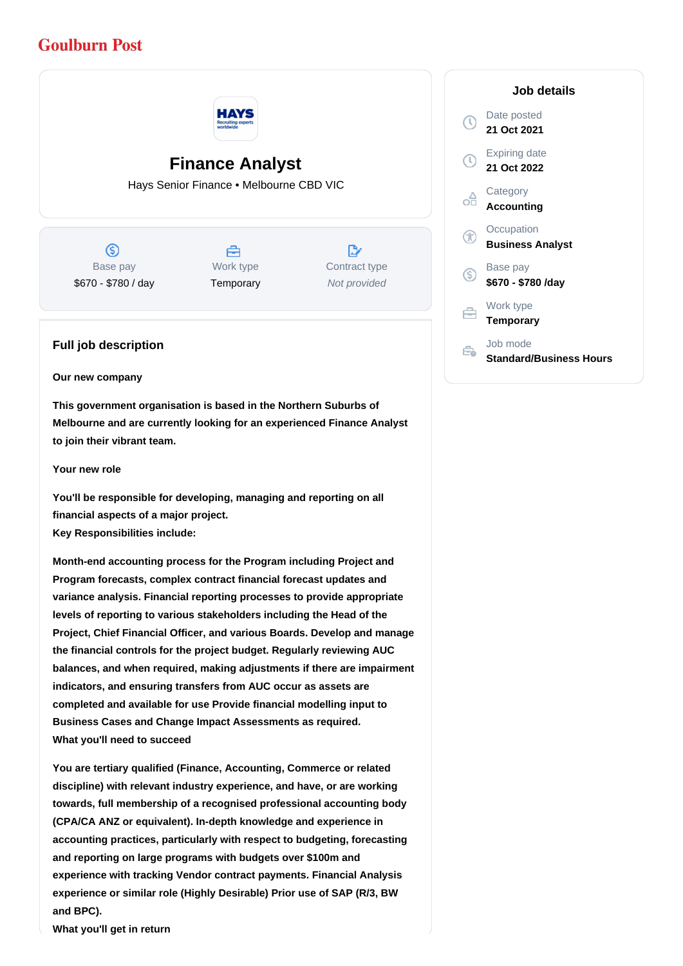## **Goulburn Post**



# **Finance Analyst**

Hays Senior Finance • Melbourne CBD VIC

 $\circledS$ Base pay \$670 - \$780 / day

## A Work type **Temporary**

 $\mathbb{R}^{\cdot}$ Contract type Not provided

### **Full job description**

#### **Our new company**

**This government organisation is based in the Northern Suburbs of Melbourne and are currently looking for an experienced Finance Analyst to join their vibrant team.** 

#### **Your new role**

**You'll be responsible for developing, managing and reporting on all financial aspects of a major project. Key Responsibilities include:**

**Month-end accounting process for the Program including Project and Program forecasts, complex contract financial forecast updates and variance analysis. Financial reporting processes to provide appropriate levels of reporting to various stakeholders including the Head of the Project, Chief Financial Officer, and various Boards. Develop and manage the financial controls for the project budget. Regularly reviewing AUC balances, and when required, making adjustments if there are impairment indicators, and ensuring transfers from AUC occur as assets are completed and available for use Provide financial modelling input to Business Cases and Change Impact Assessments as required. What you'll need to succeed**

**You are tertiary qualified (Finance, Accounting, Commerce or related discipline) with relevant industry experience, and have, or are working towards, full membership of a recognised professional accounting body (CPA/CA ANZ or equivalent). In-depth knowledge and experience in accounting practices, particularly with respect to budgeting, forecasting and reporting on large programs with budgets over \$100m and experience with tracking Vendor contract payments. Financial Analysis experience or similar role (Highly Desirable) Prior use of SAP (R/3, BW and BPC).**

**What you'll get in return**

#### **Job details** Date posted Œ **21 Oct 2021** Expiring date **21 Oct 2022 Category** œ **Accounting Occupation** G **Business Analyst** Base pay (S) **\$670 - \$780 /day** Work type 白 **Temporary** Job mode  $\oplus$ **Standard/Business Hours**